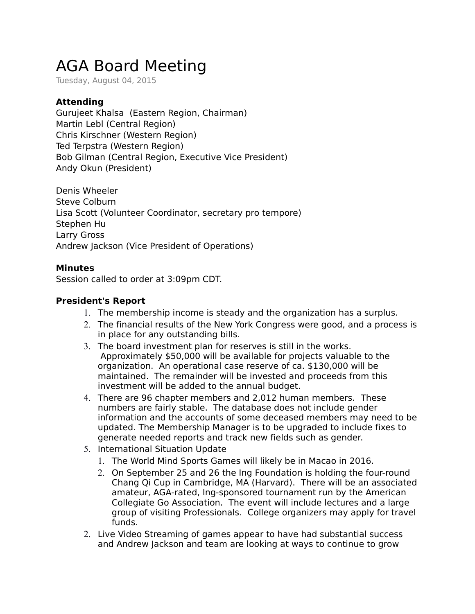## AGA Board Meeting

Tuesday, August 04, 2015

## **Attending**

Gurujeet Khalsa (Eastern Region, Chairman) Martin Lebl (Central Region) Chris Kirschner (Western Region) Ted Terpstra (Western Region) Bob Gilman (Central Region, Executive Vice President) Andy Okun (President)

Denis Wheeler Steve Colburn Lisa Scott (Volunteer Coordinator, secretary pro tempore) Stephen Hu Larry Gross Andrew Jackson (Vice President of Operations)

## **Minutes**

Session called to order at 3:09pm CDT.

## **President's Report**

- 1. The membership income is steady and the organization has a surplus.
- 2. The financial results of the New York Congress were good, and a process is in place for any outstanding bills.
- 3. The board investment plan for reserves is still in the works. Approximately \$50,000 will be available for projects valuable to the organization. An operational case reserve of ca. \$130,000 will be maintained. The remainder will be invested and proceeds from this investment will be added to the annual budget.
- 4. There are 96 chapter members and 2,012 human members. These numbers are fairly stable. The database does not include gender information and the accounts of some deceased members may need to be updated. The Membership Manager is to be upgraded to include fixes to generate needed reports and track new fields such as gender.
- 5. International Situation Update
	- 1. The World Mind Sports Games will likely be in Macao in 2016.
	- 2. On September 25 and 26 the Ing Foundation is holding the four-round Chang Qi Cup in Cambridge, MA (Harvard). There will be an associated amateur, AGA-rated, Ing-sponsored tournament run by the American Collegiate Go Association. The event will include lectures and a large group of visiting Professionals. College organizers may apply for travel funds.
- 2. Live Video Streaming of games appear to have had substantial success and Andrew Jackson and team are looking at ways to continue to grow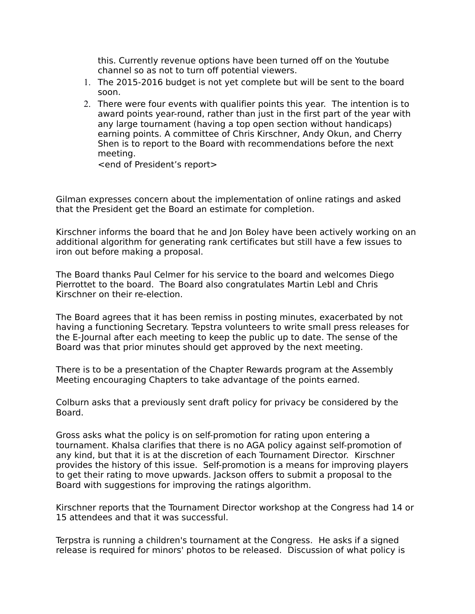this. Currently revenue options have been turned off on the Youtube channel so as not to turn off potential viewers.

- 1. The 2015-2016 budget is not yet complete but will be sent to the board soon.
- 2. There were four events with qualifier points this year. The intention is to award points year-round, rather than just in the first part of the year with any large tournament (having a top open section without handicaps) earning points. A committee of Chris Kirschner, Andy Okun, and Cherry Shen is to report to the Board with recommendations before the next meeting.

<end of President's report>

Gilman expresses concern about the implementation of online ratings and asked that the President get the Board an estimate for completion.

Kirschner informs the board that he and Jon Boley have been actively working on an additional algorithm for generating rank certificates but still have a few issues to iron out before making a proposal.

The Board thanks Paul Celmer for his service to the board and welcomes Diego Pierrottet to the board. The Board also congratulates Martin Lebl and Chris Kirschner on their re-election.

The Board agrees that it has been remiss in posting minutes, exacerbated by not having a functioning Secretary. Tepstra volunteers to write small press releases for the E-Journal after each meeting to keep the public up to date. The sense of the Board was that prior minutes should get approved by the next meeting.

There is to be a presentation of the Chapter Rewards program at the Assembly Meeting encouraging Chapters to take advantage of the points earned.

Colburn asks that a previously sent draft policy for privacy be considered by the Board.

Gross asks what the policy is on self-promotion for rating upon entering a tournament. Khalsa clarifies that there is no AGA policy against self-promotion of any kind, but that it is at the discretion of each Tournament Director. Kirschner provides the history of this issue. Self-promotion is a means for improving players to get their rating to move upwards. Jackson offers to submit a proposal to the Board with suggestions for improving the ratings algorithm.

Kirschner reports that the Tournament Director workshop at the Congress had 14 or 15 attendees and that it was successful.

Terpstra is running a children's tournament at the Congress. He asks if a signed release is required for minors' photos to be released. Discussion of what policy is